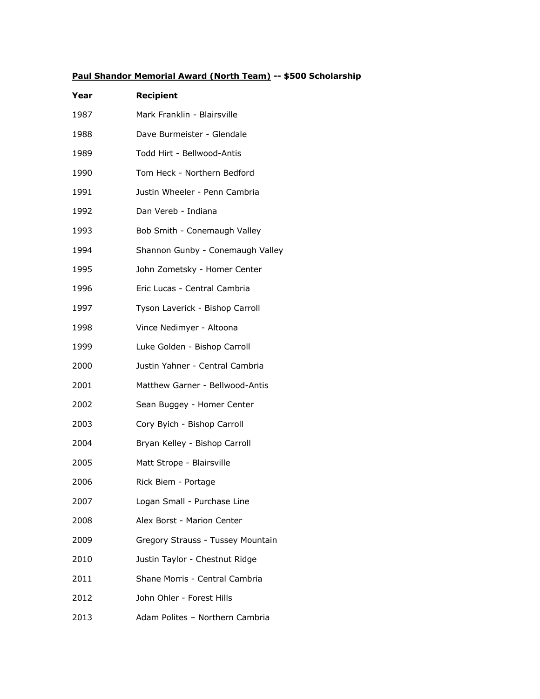## **Paul Shandor Memorial Award (North Team) -- \$500 Scholarship**

| Year | <b>Recipient</b>                  |
|------|-----------------------------------|
| 1987 | Mark Franklin - Blairsville       |
| 1988 | Dave Burmeister - Glendale        |
| 1989 | Todd Hirt - Bellwood-Antis        |
| 1990 | Tom Heck - Northern Bedford       |
| 1991 | Justin Wheeler - Penn Cambria     |
| 1992 | Dan Vereb - Indiana               |
| 1993 | Bob Smith - Conemaugh Valley      |
| 1994 | Shannon Gunby - Conemaugh Valley  |
| 1995 | John Zometsky - Homer Center      |
| 1996 | Eric Lucas - Central Cambria      |
| 1997 | Tyson Laverick - Bishop Carroll   |
| 1998 | Vince Nedimyer - Altoona          |
| 1999 | Luke Golden - Bishop Carroll      |
| 2000 | Justin Yahner - Central Cambria   |
| 2001 | Matthew Garner - Bellwood-Antis   |
| 2002 | Sean Buggey - Homer Center        |
| 2003 | Cory Byich - Bishop Carroll       |
| 2004 | Bryan Kelley - Bishop Carroll     |
| 2005 | Matt Strope - Blairsville         |
| 2006 | Rick Biem - Portage               |
| 2007 | Logan Small - Purchase Line       |
| 2008 | Alex Borst - Marion Center        |
| 2009 | Gregory Strauss - Tussey Mountain |
| 2010 | Justin Taylor - Chestnut Ridge    |
| 2011 | Shane Morris - Central Cambria    |
| 2012 | John Ohler - Forest Hills         |
| 2013 | Adam Polites - Northern Cambria   |